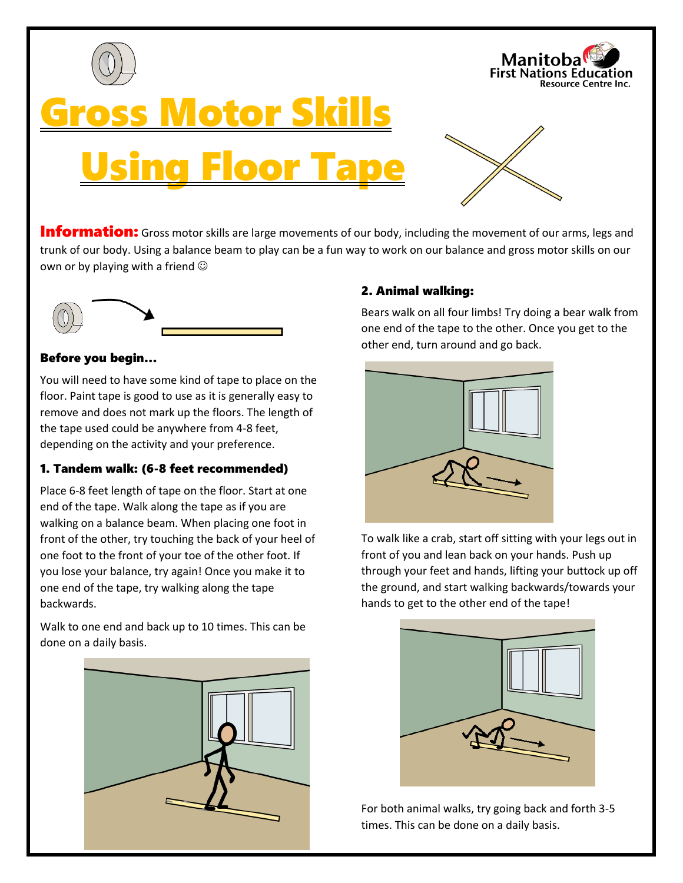







**Information:** Gross motor skills are large movements of our body, including the movement of our arms, legs and trunk of our body. Using a balance beam to play can be a fun way to work on our balance and gross motor skills on our own or by playing with a friend  $\odot$ 



### Before you begin…

You will need to have some kind of tape to place on the floor. Paint tape is good to use as it is generally easy to remove and does not mark up the floors. The length of the tape used could be anywhere from 4-8 feet, depending on the activity and your preference.

## 1. Tandem walk: (6-8 feet recommended)

Place 6-8 feet length of tape on the floor. Start at one end of the tape. Walk along the tape as if you are walking on a balance beam. When placing one foot in front of the other, try touching the back of your heel of one foot to the front of your toe of the other foot. If you lose your balance, try again! Once you make it to one end of the tape, try walking along the tape backwards.

Walk to one end and back up to 10 times. This can be done on a daily basis.



## 2. Animal walking:

Bears walk on all four limbs! Try doing a bear walk from one end of the tape to the other. Once you get to the other end, turn around and go back.



To walk like a crab, start off sitting with your legs out in front of you and lean back on your hands. Push up through your feet and hands, lifting your buttock up off the ground, and start walking backwards/towards your hands to get to the other end of the tape!



For both animal walks, try going back and forth 3-5 times. This can be done on a daily basis.